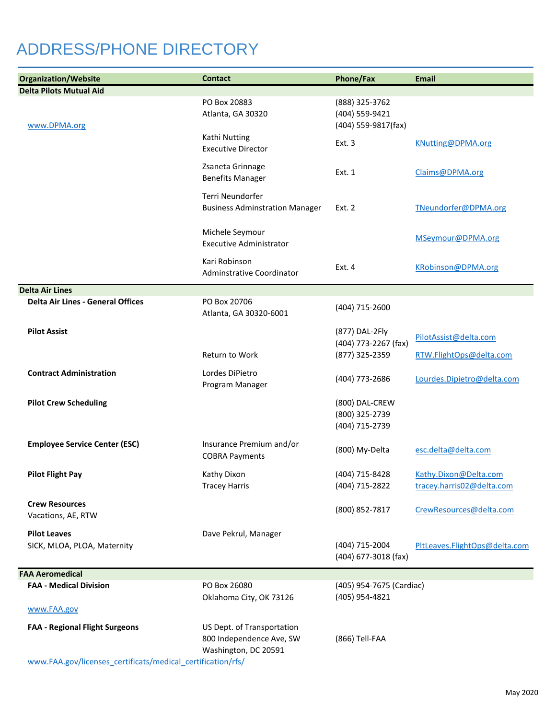## ADDRESS/PHONE DIRECTORY

| <b>Organization/Website</b>                                        | <b>Contact</b>                                    | <b>Phone/Fax</b>                       | <b>Email</b>                  |
|--------------------------------------------------------------------|---------------------------------------------------|----------------------------------------|-------------------------------|
| <b>Delta Pilots Mutual Aid</b>                                     |                                                   |                                        |                               |
|                                                                    | PO Box 20883<br>Atlanta, GA 30320                 | (888) 325-3762<br>(404) 559-9421       |                               |
| www.DPMA.org                                                       |                                                   | (404) 559-9817(fax)                    |                               |
|                                                                    | Kathi Nutting                                     | Ext. 3                                 | KNutting@DPMA.org             |
|                                                                    | <b>Executive Director</b>                         |                                        |                               |
|                                                                    | Zsaneta Grinnage                                  |                                        |                               |
|                                                                    | <b>Benefits Manager</b>                           | Ext. 1                                 | Claims@DPMA.org               |
|                                                                    | Terri Neundorfer                                  |                                        |                               |
|                                                                    | <b>Business Adminstration Manager</b>             | Ext. 2                                 | TNeundorfer@DPMA.org          |
|                                                                    |                                                   |                                        |                               |
|                                                                    | Michele Seymour<br><b>Executive Administrator</b> |                                        | MSeymour@DPMA.org             |
|                                                                    |                                                   |                                        |                               |
|                                                                    | Kari Robinson                                     | Ext. 4                                 | KRobinson@DPMA.org            |
|                                                                    | Adminstrative Coordinator                         |                                        |                               |
| <b>Delta Air Lines</b><br><b>Delta Air Lines - General Offices</b> | PO Box 20706                                      |                                        |                               |
|                                                                    | Atlanta, GA 30320-6001                            | (404) 715-2600                         |                               |
|                                                                    |                                                   |                                        |                               |
| <b>Pilot Assist</b>                                                |                                                   | (877) DAL-2Fly<br>(404) 773-2267 (fax) | PilotAssist@delta.com         |
|                                                                    | Return to Work                                    | (877) 325-2359                         | RTW.FlightOps@delta.com       |
| <b>Contract Administration</b>                                     | Lordes DiPietro                                   |                                        |                               |
|                                                                    | Program Manager                                   | (404) 773-2686                         | Lourdes.Dipietro@delta.com    |
| <b>Pilot Crew Scheduling</b>                                       |                                                   | (800) DAL-CREW                         |                               |
|                                                                    |                                                   | (800) 325-2739                         |                               |
|                                                                    |                                                   | (404) 715-2739                         |                               |
| <b>Employee Service Center (ESC)</b>                               | Insurance Premium and/or                          |                                        |                               |
|                                                                    | <b>COBRA Payments</b>                             | (800) My-Delta                         | esc.delta@delta.com           |
| <b>Pilot Flight Pay</b>                                            | Kathy Dixon                                       | (404) 715-8428                         | Kathy.Dixon@Delta.com         |
|                                                                    | <b>Tracey Harris</b>                              | (404) 715-2822                         | tracey.harris02@delta.com     |
| <b>Crew Resources</b>                                              |                                                   |                                        |                               |
| Vacations, AE, RTW                                                 |                                                   | (800) 852-7817                         | CrewResources@delta.com       |
|                                                                    |                                                   |                                        |                               |
| <b>Pilot Leaves</b><br>SICK, MLOA, PLOA, Maternity                 | Dave Pekrul, Manager                              | (404) 715-2004                         | PltLeaves.FlightOps@delta.com |
|                                                                    |                                                   | (404) 677-3018 (fax)                   |                               |
| <b>FAA Aeromedical</b>                                             |                                                   |                                        |                               |
| <b>FAA - Medical Division</b>                                      | PO Box 26080                                      | (405) 954-7675 (Cardiac)               |                               |
|                                                                    | Oklahoma City, OK 73126                           | (405) 954-4821                         |                               |
| www.FAA.gov                                                        |                                                   |                                        |                               |
| <b>FAA - Regional Flight Surgeons</b>                              | US Dept. of Transportation                        |                                        |                               |
|                                                                    | 800 Independence Ave, SW                          | (866) Tell-FAA                         |                               |
|                                                                    | Washington, DC 20591                              |                                        |                               |
| www.FAA.gov/licenses_certificats/medical_certification/rfs/        |                                                   |                                        |                               |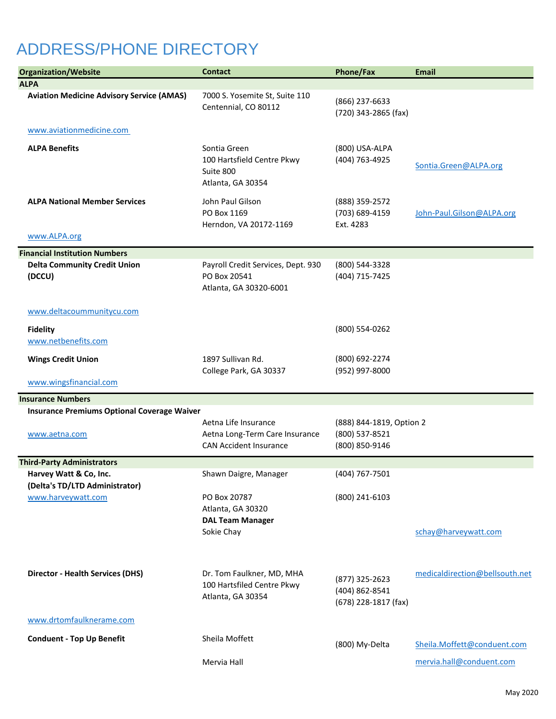## ADDRESS/PHONE DIRECTORY

| <b>Organization/Website</b>                              | <b>Contact</b>                                                                          | Phone/Fax                                                    | Email                          |
|----------------------------------------------------------|-----------------------------------------------------------------------------------------|--------------------------------------------------------------|--------------------------------|
| <b>ALPA</b>                                              |                                                                                         |                                                              |                                |
| <b>Aviation Medicine Advisory Service (AMAS)</b>         | 7000 S. Yosemite St, Suite 110<br>Centennial, CO 80112                                  | (866) 237-6633<br>(720) 343-2865 (fax)                       |                                |
| www.aviationmedicine.com                                 |                                                                                         |                                                              |                                |
| <b>ALPA Benefits</b>                                     | Sontia Green<br>100 Hartsfield Centre Pkwy<br>Suite 800<br>Atlanta, GA 30354            | (800) USA-ALPA<br>(404) 763-4925                             | Sontia.Green@ALPA.org          |
| <b>ALPA National Member Services</b>                     | John Paul Gilson<br>PO Box 1169<br>Herndon, VA 20172-1169                               | (888) 359-2572<br>(703) 689-4159<br>Ext. 4283                | John-Paul.Gilson@ALPA.org      |
| www.ALPA.org                                             |                                                                                         |                                                              |                                |
| <b>Financial Institution Numbers</b>                     |                                                                                         |                                                              |                                |
| <b>Delta Community Credit Union</b><br>(DCCU)            | Payroll Credit Services, Dept. 930<br>PO Box 20541<br>Atlanta, GA 30320-6001            | (800) 544-3328<br>(404) 715-7425                             |                                |
| www.deltacoummunitycu.com                                |                                                                                         |                                                              |                                |
| <b>Fidelity</b><br>www.netbenefits.com                   |                                                                                         | (800) 554-0262                                               |                                |
| <b>Wings Credit Union</b>                                | 1897 Sullivan Rd.<br>College Park, GA 30337                                             | (800) 692-2274<br>(952) 997-8000                             |                                |
| www.wingsfinancial.com                                   |                                                                                         |                                                              |                                |
| <b>Insurance Numbers</b>                                 |                                                                                         |                                                              |                                |
| <b>Insurance Premiums Optional Coverage Waiver</b>       |                                                                                         |                                                              |                                |
| www.aetna.com                                            | Aetna Life Insurance<br>Aetna Long-Term Care Insurance<br><b>CAN Accident Insurance</b> | (888) 844-1819, Option 2<br>(800) 537-8521<br>(800) 850-9146 |                                |
| <b>Third-Party Administrators</b>                        |                                                                                         |                                                              |                                |
| Harvey Watt & Co, Inc.<br>(Delta's TD/LTD Administrator) | Shawn Daigre, Manager                                                                   | (404) 767-7501                                               |                                |
| www.harveywatt.com                                       | PO Box 20787<br>Atlanta, GA 30320<br><b>DAL Team Manager</b>                            | (800) 241-6103                                               |                                |
|                                                          | Sokie Chay                                                                              |                                                              | schay@harveywatt.com           |
| <b>Director - Health Services (DHS)</b>                  | Dr. Tom Faulkner, MD, MHA<br>100 Hartsfiled Centre Pkwy<br>Atlanta, GA 30354            | (877) 325-2623<br>(404) 862-8541<br>(678) 228-1817 (fax)     | medicaldirection@bellsouth.net |
| www.drtomfaulknerame.com                                 |                                                                                         |                                                              |                                |
| <b>Conduent - Top Up Benefit</b>                         | Sheila Moffett                                                                          | (800) My-Delta                                               | Sheila.Moffett@conduent.com    |
|                                                          | Mervia Hall                                                                             |                                                              | mervia.hall@conduent.com       |